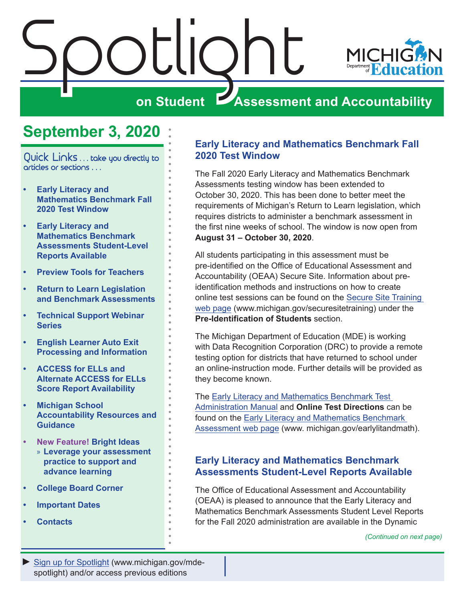<span id="page-0-0"></span>

# **September 3, 2020**

Quick Links . . . take you directly to articles or sections . . .

- **• Early Literacy and Mathematics Benchmark Fall 2020 Test Window**
- **• Early Literacy and Mathematics Benchmark Assessments Student-Level Reports Available**
- **• [Preview Tools for Teachers](#page-1-0)**
- **• [Return to Learn Legislation](#page-2-0)  [and Benchmark Assessments](#page-2-0)**
- **• [Technical Support Webinar](#page-4-0)  [Series](#page-4-0)**
- **• [English Learner Auto Exit](#page-5-0)  [Processing and Information](#page-5-0)**
- **• [ACCESS for ELLs and](#page-5-0)  [Alternate ACCESS for ELLs](#page-5-0)  [Score Report Availability](#page-5-0)**
- **• [Michigan School](#page-7-0)  [Accountability Resources and](#page-7-0)  [Guidance](#page-7-0)**
- **• [New Feature!](#page-8-0) Bright Ideas** » **[Leverage your assessment](#page-8-0)  [practice to support and](#page-8-0)  [advance learning](#page-8-0)**
- **• [College Board Corner](#page-9-0)**
- **• [Important Dates](#page-10-0)**
- **• [Contacts](#page-11-0)**

#### **Early Literacy and Mathematics Benchmark Fall 2020 Test Window**

The Fall 2020 Early Literacy and Mathematics Benchmark Assessments testing window has been extended to October 30, 2020. This has been done to better meet the requirements of Michigan's Return to Learn legislation, which requires districts to administer a benchmark assessment in the first nine weeks of school. The window is now open from **August 31 – October 30, 2020**.

All students participating in this assessment must be pre-identified on the Office of Educational Assessment and Accountability (OEAA) Secure Site. Information about preidentification methods and instructions on how to create online test sessions can be found on the [Secure Site Training](http://www.michigan.gov/securesitetraining)  [web page](http://www.michigan.gov/securesitetraining) (www.michigan.gov/securesitetraining) under the **Pre-Identification of Students** section.

The Michigan Department of Education (MDE) is working with Data Recognition Corporation (DRC) to provide a remote testing option for districts that have returned to school under an online-instruction mode. Further details will be provided as they become known.

The [Early Literacy and Mathematics Benchmark Test](https://www.michigan.gov/documents/mde/Early_Literacy_and_Mathematics_TAM_663326_7.pdf)  [Administration Manual](https://www.michigan.gov/documents/mde/Early_Literacy_and_Mathematics_TAM_663326_7.pdf) and **Online Test Directions** can be found on the [Early Literacy and Mathematics Benchmark](www.michigan.gov/earlylitandmath)  [Assessment web page](www.michigan.gov/earlylitandmath) (www. michigan.gov/earlylitandmath).

#### **Early Literacy and Mathematics Benchmark Assessments Student-Level Reports Available**

The Office of Educational Assessment and Accountability (OEAA) is pleased to announce that the Early Literacy and Mathematics Benchmark Assessments Student Level Reports for the Fall 2020 administration are available in the Dynamic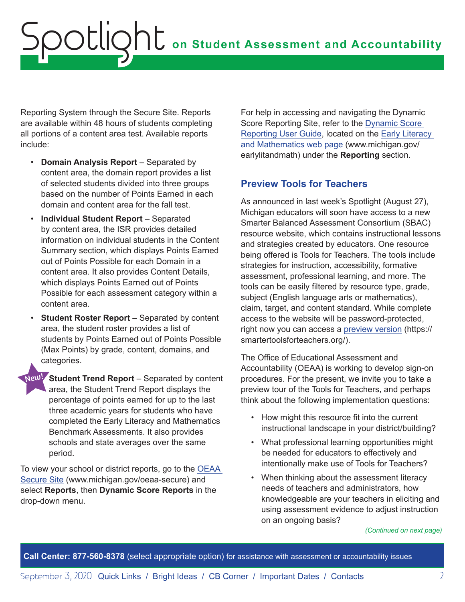<span id="page-1-0"></span>Reporting System through the Secure Site. Reports are available within 48 hours of students completing all portions of a content area test. Available reports include:

- **Domain Analysis Report**  Separated by content area, the domain report provides a list of selected students divided into three groups based on the number of Points Earned in each domain and content area for the fall test.
- **Individual Student Report**  Separated by content area, the ISR provides detailed information on individual students in the Content Summary section, which displays Points Earned out of Points Possible for each Domain in a content area. It also provides Content Details, which displays Points Earned out of Points Possible for each assessment category within a content area.
- **Student Roster Report** Separated by content area, the student roster provides a list of students by Points Earned out of Points Possible (Max Points) by grade, content, domains, and categories.

New! Student Trend Report – Separated by content area, the Student Trend Report displays the percentage of points earned for up to the last three academic years for students who have completed the Early Literacy and Mathematics Benchmark Assessments. It also provides schools and state averages over the same period.

To view your school or district reports, go to the [OEAA](http://www.michigan.gov/oeaa-secure)  [Secure Site](http://www.michigan.gov/oeaa-secure) (www.michigan.gov/oeaa-secure) and select **Reports**, then **Dynamic Score Reports** in the drop-down menu.

For help in accessing and navigating the Dynamic Score Reporting Site, refer to the [Dynamic Score](https://www.michigan.gov/documents/mde/How_to_Navigate_Dynamic_Score_Reports_532306_7.pdf)  [Reporting User Guide,](https://www.michigan.gov/documents/mde/How_to_Navigate_Dynamic_Score_Reports_532306_7.pdf) located on the [Early Literacy](www.michigan.gov/earlylitandmath)  [and Mathematics web page](www.michigan.gov/earlylitandmath) (www.michigan.gov/ earlylitandmath) under the **Reporting** section.

### **Preview Tools for Teachers**

As announced in last week's Spotlight (August 27), Michigan educators will soon have access to a new Smarter Balanced Assessment Consortium (SBAC) resource website, which contains instructional lessons and strategies created by educators. One resource being offered is Tools for Teachers. The tools include strategies for instruction, accessibility, formative assessment, professional learning, and more. The tools can be easily filtered by resource type, grade, subject (English language arts or mathematics), claim, target, and content standard. While complete access to the website will be password-protected, right now you can access a [preview version](https://smartertoolsforteachers.org/) (https:// smartertoolsforteachers.org/).

The Office of Educational Assessment and Accountability (OEAA) is working to develop sign-on procedures. For the present, we invite you to take a preview tour of the Tools for Teachers, and perhaps think about the following implementation questions:

- How might this resource fit into the current instructional landscape in your district/building?
- What professional learning opportunities might be needed for educators to effectively and intentionally make use of Tools for Teachers?
- When thinking about the assessment literacy needs of teachers and administrators, how knowledgeable are your teachers in eliciting and using assessment evidence to adjust instruction on an ongoing basis?

*(Continued on next page)*

**Call Center: 877-560-8378** (select appropriate option) for assistance with assessment or accountability issues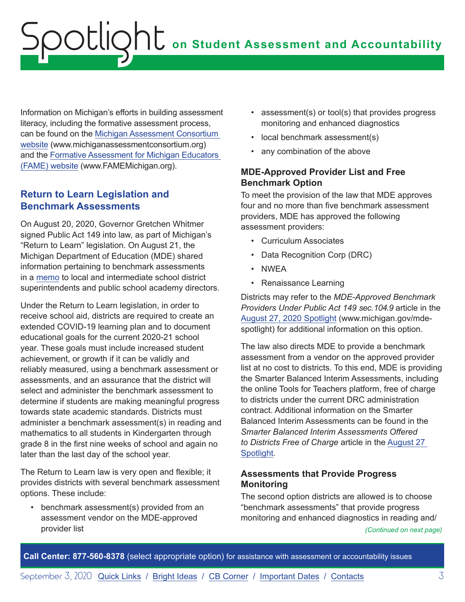<span id="page-2-0"></span>Information on Michigan's efforts in building assessment literacy, including the formative assessment process, can be found on the [Michigan Assessment Consortium](http://www.michiganassessmentconsortium.org)  [website](http://www.michiganassessmentconsortium.org) (www.michiganassessmentconsortium.org) and the [Formative Assessment for Michigan Educators](http://www.FAMEMichigan.org)  [\(FAME\) website](http://www.FAMEMichigan.org) (www.FAMEMichigan.org).

#### **Return to Learn Legislation and Benchmark Assessments**

On August 20, 2020, Governor Gretchen Whitmer signed Public Act 149 into law, as part of Michigan's "Return to Learn" legislation. On August 21, the Michigan Department of Education (MDE) shared information pertaining to benchmark assessments in a [memo](https://www.michigan.gov/documents/mde/Benchmark_Assessments_700077_7.pdf) to local and intermediate school district superintendents and public school academy directors.

Under the Return to Learn legislation, in order to receive school aid, districts are required to create an extended COVID-19 learning plan and to document educational goals for the current 2020-21 school year. These goals must include increased student achievement, or growth if it can be validly and reliably measured, using a benchmark assessment or assessments, and an assurance that the district will select and administer the benchmark assessment to determine if students are making meaningful progress towards state academic standards. Districts must administer a benchmark assessment(s) in reading and mathematics to all students in Kindergarten through grade 8 in the first nine weeks of school and again no later than the last day of the school year.

The Return to Learn law is very open and flexible; it provides districts with several benchmark assessment options. These include:

• benchmark assessment(s) provided from an assessment vendor on the MDE-approved provider list

- assessment(s) or tool(s) that provides progress monitoring and enhanced diagnostics
- local benchmark assessment(s)
- any combination of the above

#### **MDE-Approved Provider List and Free Benchmark Option**

To meet the provision of the law that MDE approves four and no more than five benchmark assessment providers, MDE has approved the following assessment providers:

- Curriculum Associates
- Data Recognition Corp (DRC)
- NWEA
- Renaissance Learning

Districts may refer to the *MDE-Approved Benchmark Providers Under Public Act 149 sec. 104.9* article in the [August 27, 2020 Spotlight](https://www.michigan.gov/documents/mde/Spotlight_8-27-20_700678_7.pdf) (www.michigan.gov/mdespotlight) for additional information on this option.

The law also directs MDE to provide a benchmark assessment from a vendor on the approved provider list at no cost to districts. To this end, MDE is providing the Smarter Balanced Interim Assessments, including the online Tools for Teachers platform, free of charge to districts under the current DRC administration contract. Additional information on the Smarter Balanced Interim Assessments can be found in the *Smarter Balanced Interim Assessments Offered to Districts Free of Charge* article in the [August 27](https://www.michigan.gov/documents/mde/Spotlight_8-27-20_700678_7.pdf)  [Spotlight](https://www.michigan.gov/documents/mde/Spotlight_8-27-20_700678_7.pdf).

#### **Assessments that Provide Progress Monitoring**

The second option districts are allowed is to choose "benchmark assessments" that provide progress monitoring and enhanced diagnostics in reading and/

*(Continued on next page)*

**Call Center: 877-560-8378** (select appropriate option) for assistance with assessment or accountability issues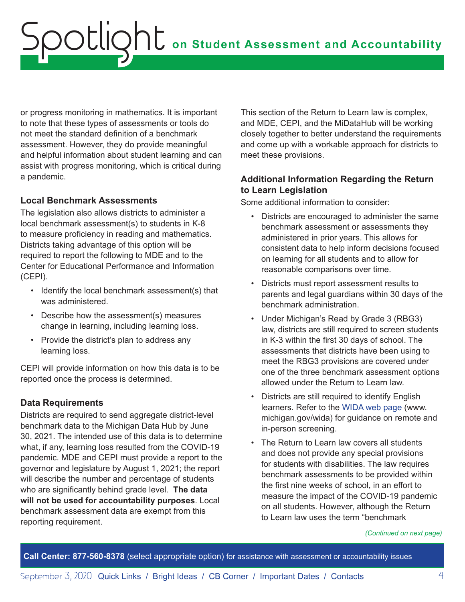or progress monitoring in mathematics. It is important to note that these types of assessments or tools do not meet the standard definition of a benchmark assessment. However, they do provide meaningful and helpful information about student learning and can assist with progress monitoring, which is critical during a pandemic.

#### **Local Benchmark Assessments**

The legislation also allows districts to administer a local benchmark assessment(s) to students in K-8 to measure proficiency in reading and mathematics. Districts taking advantage of this option will be required to report the following to MDE and to the Center for Educational Performance and Information (CEPI).

- Identify the local benchmark assessment(s) that was administered.
- Describe how the assessment(s) measures change in learning, including learning loss.
- Provide the district's plan to address any learning loss.

CEPI will provide information on how this data is to be reported once the process is determined.

#### **Data Requirements**

Districts are required to send aggregate district-level benchmark data to the Michigan Data Hub by June 30, 2021. The intended use of this data is to determine what, if any, learning loss resulted from the COVID-19 pandemic. MDE and CEPI must provide a report to the governor and legislature by August 1, 2021; the report will describe the number and percentage of students who are significantly behind grade level. **The data will not be used for accountability purposes**. Local benchmark assessment data are exempt from this reporting requirement.

This section of the Return to Learn law is complex, and MDE, CEPI, and the MiDataHub will be working closely together to better understand the requirements and come up with a workable approach for districts to meet these provisions.

#### **Additional Information Regarding the Return to Learn Legislation**

Some additional information to consider:

- Districts are encouraged to administer the same benchmark assessment or assessments they administered in prior years. This allows for consistent data to help inform decisions focused on learning for all students and to allow for reasonable comparisons over time.
- Districts must report assessment results to parents and legal guardians within 30 days of the benchmark administration.
- Under Michigan's Read by Grade 3 (RBG3) law, districts are still required to screen students in K-3 within the first 30 days of school. The assessments that districts have been using to meet the RBG3 provisions are covered under one of the three benchmark assessment options allowed under the Return to Learn law.
- Districts are still required to identify English learners. Refer to the [WIDA web page](www.michigan.gov/wida) (www. michigan.gov/wida) for guidance on remote and in-person screening.
- The Return to Learn law covers all students and does not provide any special provisions for students with disabilities. The law requires benchmark assessments to be provided within the first nine weeks of school, in an effort to measure the impact of the COVID-19 pandemic on all students. However, although the Return to Learn law uses the term "benchmark

*(Continued on next page)*

**Call Center: 877-560-8378** (select appropriate option) for assistance with assessment or accountability issues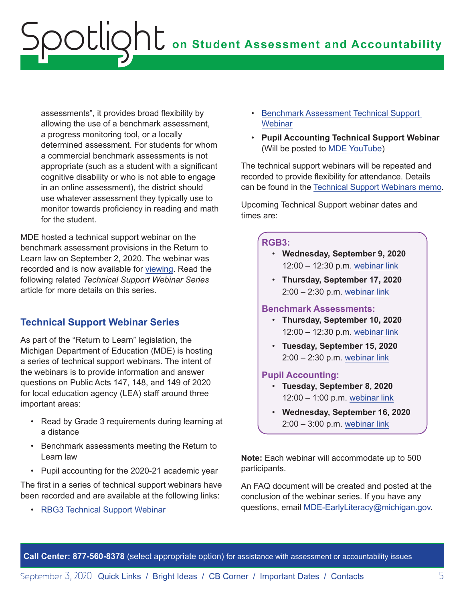<span id="page-4-0"></span>assessments", it provides broad flexibility by allowing the use of a benchmark assessment, a progress monitoring tool, or a locally determined assessment. For students for whom a commercial benchmark assessments is not appropriate (such as a student with a significant cognitive disability or who is not able to engage in an online assessment), the district should use whatever assessment they typically use to monitor towards proficiency in reading and math for the student.

MDE hosted a technical support webinar on the benchmark assessment provisions in the Return to Learn law on September 2, 2020. The webinar was recorded and is now available for [viewing](https://www.youtube.com/watch?v=3Ei9WrO64Kohttp://viewing). Read the following related *Technical Support Webinar Series* article for more details on this series.

### **Technical Support Webinar Series**

As part of the "Return to Learn" legislation, the Michigan Department of Education (MDE) is hosting a series of technical support webinars. The intent of the webinars is to provide information and answer questions on Public Acts 147, 148, and 149 of 2020 for local education agency (LEA) staff around three important areas:

- Read by Grade 3 requirements during learning at a distance
- Benchmark assessments meeting the Return to Learn law
- Pupil accounting for the 2020-21 academic year

The first in a series of technical support webinars have been recorded and are available at the following links:

• [RBG3 Technical Support Webinar](https://www.youtube.com/watch?v=yG9DKAQTWbs&t=12s)

- [Benchmark Assessment Technical Support](https://www.youtube.com/watch?v=3Ei9WrO64Ko&t=1772s)  **[Webinar](https://www.youtube.com/watch?v=3Ei9WrO64Ko&t=1772s)**
- **Pupil Accounting Technical Support Webinar** (Will be posted to [MDE YouTube](https://www.youtube.com/c/michdepted/videos))

The technical support webinars will be repeated and recorded to provide flexibility for attendance. Details can be found in the [Technical Support Webinars memo.](https://www.michigan.gov/documents/mde/Technical_Support_Webinars_700656_7.pdf)

Upcoming Technical Support webinar dates and times are:

#### **RGB3:**

- **Wednesday, September 9, 2020** 12:00 – 12:30 p.m. [webinar link](https://us02web.zoom.us/j/81644229500?pwd=WWptUFdvOGFSWTZBSWhkVmlQL09hZz09#success)
- **Thursday, September 17, 2020** 2:00 – 2:30 p.m. [webinar link](https://us02web.zoom.us/j/83583189164?pwd=MnlYeVh0SU1wNVhtWmcySmxkaFBodz09)

#### **Benchmark Assessments:**

- **Thursday, September 10, 2020** 12:00 – 12:30 p.m. [webinar link](https://us02web.zoom.us/j/88634001311?pwd=ZWhiMHhtK1RMeDI3aVZZUEhLWGFwQT09#success)
- **Tuesday, September 15, 2020** 2:00 – 2:30 p.m. [webinar link](https://us02web.zoom.us/j/85819202881?pwd=d1lCazZkdjFQblJ1RTlCZy81OHJmZz09#success)

#### **Pupil Accounting:**

- **Tuesday, September 8, 2020** 12:00 – 1:00 p.m. [webinar link](https://us02web.zoom.us/j/86222266637?pwd=M2hXQlB1dDZUaWNGNU8wYVZacTRadz09#success)
- **Wednesday, September 16, 2020** 2:00 – 3:00 p.m. [webinar link](https://us02web.zoom.us/j/86234258508?pwd=ZENmVXFMeFJYejlMcUViUGszWXMwUT09#success)

**Note:** Each webinar will accommodate up to 500 participants.

An FAQ document will be created and posted at the conclusion of the webinar series. If you have any questions, email [MDE-EarlyLiteracy@michigan.gov.](mailto:MDE-EarlyLiteracy%40michigan.gov?subject=)

**Call Center: 877-560-8378** (select appropriate option) for assistance with assessment or accountability issues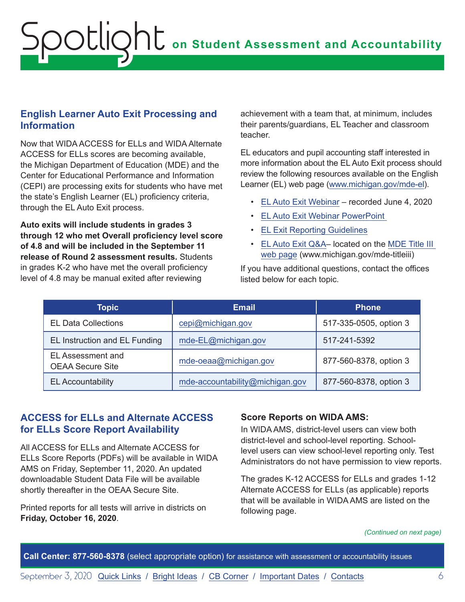#### <span id="page-5-0"></span>**English Learner Auto Exit Processing and Information**

Now that WIDA ACCESS for ELLs and WIDA Alternate ACCESS for ELLs scores are becoming available, the Michigan Department of Education (MDE) and the Center for Educational Performance and Information (CEPI) are processing exits for students who have met the state's English Learner (EL) proficiency criteria, through the EL Auto Exit process.

**Auto exits will include students in grades 3 through 12 who met Overall proficiency level score of 4.8 and will be included in the September 11 release of Round 2 assessment results.** Students in grades K-2 who have met the overall proficiency level of 4.8 may be manual exited after reviewing

achievement with a team that, at minimum, includes their parents/guardians, EL Teacher and classroom teacher.

EL educators and pupil accounting staff interested in more information about the EL Auto Exit process should review the following resources available on the English Learner (EL) web page ([www.michigan.gov/mde-el\)](http://www.michigan.gov/mde-el).

- [EL Auto Exit Webinar](https://www.youtube.com/watch?v=wdPirl6GV-s&feature=youtu.be&list=PLQNv-MrTjyhIl7x1SZDaJ5AtVkgDYNrEi) recorded June 4, 2020
- [EL Auto Exit Webinar PowerPoint](https://www.michigan.gov/documents/mde/EL_Auto_Exit_Webinar_694600_7.pdf)
- [EL Exit Reporting Guidelines](https://www.michigan.gov/documents/mde/19-20_EL_Exit_Reporting_Guidelines_692735_7.pdf)
- [EL Auto Exit Q&A–](https://www.michigan.gov/documents/mde/EL_Auto_Exit_QA_696047_7.docx) located on the [MDE Title III](http://www.michigan.gov/mde-titleiii)  [web page](http://www.michigan.gov/mde-titleiii) (www.michigan.gov/mde-titleiii)

If you have additional questions, contact the offices listed below for each topic.

| <b>Topic</b>                                 | <b>Email</b>                    | <b>Phone</b>           |
|----------------------------------------------|---------------------------------|------------------------|
| <b>EL Data Collections</b>                   | cepi@michigan.gov               | 517-335-0505, option 3 |
| EL Instruction and EL Funding                | mde-EL@michigan.gov             | 517-241-5392           |
| EL Assessment and<br><b>OEAA Secure Site</b> | mde-oeaa@michigan.gov           | 877-560-8378, option 3 |
| <b>EL Accountability</b>                     | mde-accountability@michigan.gov | 877-560-8378, option 3 |

#### **ACCESS for ELLs and Alternate ACCESS for ELLs Score Report Availability**

All ACCESS for ELLs and Alternate ACCESS for ELLs Score Reports (PDFs) will be available in WIDA AMS on Friday, September 11, 2020. An updated downloadable Student Data File will be available shortly thereafter in the OEAA Secure Site.

Printed reports for all tests will arrive in districts on **Friday, October 16, 2020**.

#### **Score Reports on WIDA AMS:**

In WIDA AMS, district-level users can view both district-level and school-level reporting. Schoollevel users can view school-level reporting only. Test Administrators do not have permission to view reports.

The grades K-12 ACCESS for ELLs and grades 1-12 Alternate ACCESS for ELLs (as applicable) reports that will be available in WIDA AMS are listed on the following page.

*(Continued on next page)*

**Call Center: 877-560-8378** (select appropriate option) for assistance with assessment or accountability issues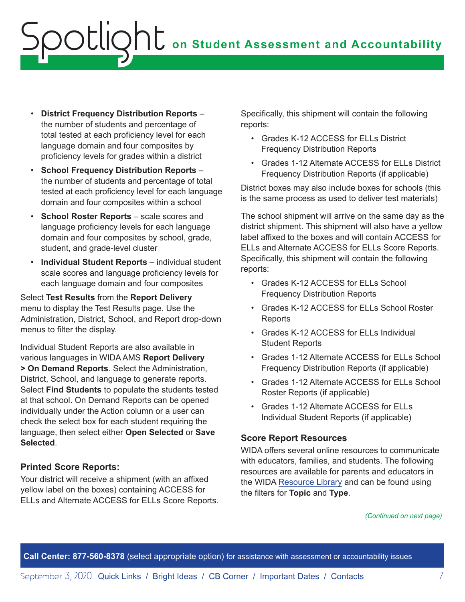- **District Frequency Distribution Reports** the number of students and percentage of total tested at each proficiency level for each language domain and four composites by proficiency levels for grades within a district
- **School Frequency Distribution Reports** the number of students and percentage of total tested at each proficiency level for each language domain and four composites within a school
- **School Roster Reports** scale scores and language proficiency levels for each language domain and four composites by school, grade, student, and grade-level cluster
- **Individual Student Reports** individual student scale scores and language proficiency levels for each language domain and four composites

Select **Test Results** from the **Report Delivery** menu to display the Test Results page. Use the Administration, District, School, and Report drop-down menus to filter the display.

Individual Student Reports are also available in various languages in WIDA AMS **Report Delivery > On Demand Reports**. Select the Administration, District, School, and language to generate reports. Select **Find Students** to populate the students tested at that school. On Demand Reports can be opened individually under the Action column or a user can check the select box for each student requiring the language, then select either **Open Selected** or **Save Selected**.

#### **Printed Score Reports:**

Your district will receive a shipment (with an affixed yellow label on the boxes) containing ACCESS for ELLs and Alternate ACCESS for ELLs Score Reports. Specifically, this shipment will contain the following reports:

- Grades K-12 ACCESS for ELLs District Frequency Distribution Reports
- Grades 1-12 Alternate ACCESS for ELLs District Frequency Distribution Reports (if applicable)

District boxes may also include boxes for schools (this is the same process as used to deliver test materials)

The school shipment will arrive on the same day as the district shipment. This shipment will also have a yellow label affixed to the boxes and will contain ACCESS for ELLs and Alternate ACCESS for ELLs Score Reports. Specifically, this shipment will contain the following reports:

- Grades K-12 ACCESS for ELLs School Frequency Distribution Reports
- Grades K-12 ACCESS for ELLs School Roster Reports
- Grades K-12 ACCESS for ELLs Individual Student Reports
- Grades 1-12 Alternate ACCESS for ELLs School Frequency Distribution Reports (if applicable)
- Grades 1-12 Alternate ACCESS for ELLs School Roster Reports (if applicable)
- Grades 1-12 Alternate ACCESS for ELLs Individual Student Reports (if applicable)

#### **Score Report Resources**

WIDA offers several online resources to communicate with educators, families, and students. The following resources are available for parents and educators in the WIDA [Resource Library](https://wida.wisc.edu/resources) and can be found using the filters for **Topic** and **Type**.

*(Continued on next page)*

**Call Center: 877-560-8378** (select appropriate option) for assistance with assessment or accountability issues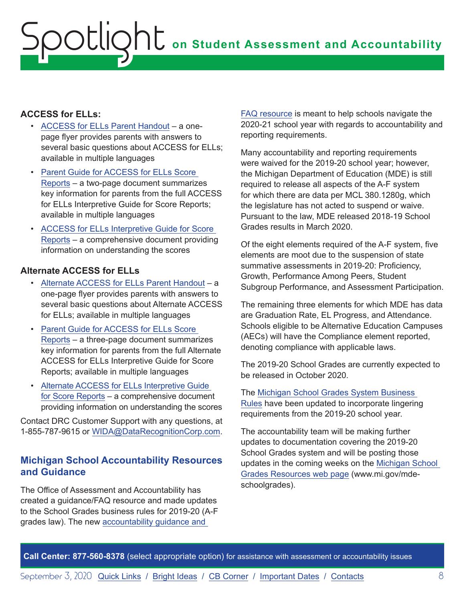#### <span id="page-7-0"></span>**ACCESS for ELLs:**

- [ACCESS for ELLs Parent Handout](https://wida.wisc.edu/resources?keys=&field_type_target_id%5B355%5D=355&utm_campaign=MI13&utm_medium=email&utm_source=Eloqua) a onepage flyer provides parents with answers to several basic questions about ACCESS for ELLs; available in multiple languages
- [Parent Guide for ACCESS for ELLs Score](https://wida.wisc.edu/resources?keys=&field_type_target_id%5B354%5D=354&utm_source=Eloqua&utm_medium=email&utm_campaign=MI13&utm_content=text-Parent-Guide-for-ACCESS-for-ELLs-Score-Reports)  [Reports](https://wida.wisc.edu/resources?keys=&field_type_target_id%5B354%5D=354&utm_source=Eloqua&utm_medium=email&utm_campaign=MI13&utm_content=text-Parent-Guide-for-ACCESS-for-ELLs-Score-Reports) – a two-page document summarizes key information for parents from the full ACCESS for ELLs Interpretive Guide for Score Reports; available in multiple languages
- ACCESS for ELLs Interpretive Guide for Score [Reports](mailto:https://wida.wisc.edu/resources/access-ells-interpretive-guide-score-reports%3Futm_campaign%3DMI13%26utm_medium%3Demail%26utm_source%3DEloqua?subject=) – a comprehensive document providing information on understanding the scores

#### **Alternate ACCESS for ELLs**

- [Alternate ACCESS for ELLs Parent Handout](mailto:https://wida.wisc.edu/resources%3Fkeys%3D%2522parent%2Bhandout%2522%26field_type_target_id%255B331%255D%3D331%26utm_campaign%3DMI13%26utm_medium%3Demail%26utm_source%3DEloqua?subject=)  a one-page flyer provides parents with answers to several basic questions about Alternate ACCESS for ELLs; available in multiple languages
- [Parent Guide for ACCESS for ELLs Score](mailto:https://wida.wisc.edu/resources%3Fkeys%3D%2522parent%2Bguide%2522%26field_type_target_id%255B331%255D%3D331%26utm_campaign%3DMI13%26utm_medium%3Demail%26utm_source%3DEloqua?subject=)  [Reports](mailto:https://wida.wisc.edu/resources%3Fkeys%3D%2522parent%2Bguide%2522%26field_type_target_id%255B331%255D%3D331%26utm_campaign%3DMI13%26utm_medium%3Demail%26utm_source%3DEloqua?subject=) – a three-page document summarizes key information for parents from the full Alternate ACCESS for ELLs Interpretive Guide for Score Reports; available in multiple languages
- [Alternate ACCESS for ELLs Interpretive Guide](mailto:https://wida.wisc.edu/resources/alternate-access-ells-interpretive-guide-score-reports%3Futm_campaign%3DMI13%26utm_medium%3Demail%26utm_source%3DEloqua?subject=)  [for Score Reports](mailto:https://wida.wisc.edu/resources/alternate-access-ells-interpretive-guide-score-reports%3Futm_campaign%3DMI13%26utm_medium%3Demail%26utm_source%3DEloqua?subject=) – a comprehensive document providing information on understanding the scores

Contact DRC Customer Support with any questions, at 1-855-787-9615 or [WIDA@DataRecognitionCorp.com](mailto:WIDA%40DataRecognitionCorp.com?subject=).

#### **Michigan School Accountability Resources and Guidance**

The Office of Assessment and Accountability has created a guidance/FAQ resource and made updates to the School Grades business rules for 2019-20 (A-F grades law). The new [accountability guidance and](https://www.michigan.gov/documents/mde/Michigan_School_Accountability_Planning_and_Response_to_COVID-19_701197_7.pdf) 

[FAQ resource](https://www.michigan.gov/documents/mde/Michigan_School_Accountability_Planning_and_Response_to_COVID-19_701197_7.pdf) is meant to help schools navigate the 2020-21 school year with regards to accountability and reporting requirements.

Many accountability and reporting requirements were waived for the 2019-20 school year; however, the Michigan Department of Education (MDE) is still required to release all aspects of the A-F system for which there are data per MCL 380.1280g, which the legislature has not acted to suspend or waive. Pursuant to the law, MDE released 2018-19 School Grades results in March 2020.

Of the eight elements required of the A-F system, five elements are moot due to the suspension of state summative assessments in 2019-20: Proficiency, Growth, Performance Among Peers, Student Subgroup Performance, and Assessment Participation.

The remaining three elements for which MDE has data are Graduation Rate, EL Progress, and Attendance. Schools eligible to be Alternative Education Campuses (AECs) will have the Compliance element reported, denoting compliance with applicable laws.

The 2019-20 School Grades are currently expected to be released in October 2020.

The [Michigan School Grades System Business](https://www.michigan.gov/documents/mde/Michigan_School_Grades_System_Business_Rules_682895_7.pdf)  [Rules](https://www.michigan.gov/documents/mde/Michigan_School_Grades_System_Business_Rules_682895_7.pdf) have been updated to incorporate lingering requirements from the 2019-20 school year.

The accountability team will be making further updates to documentation covering the 2019-20 School Grades system and will be posting those updates in the coming weeks on the [Michigan School](http://www.mi.gov/mde-schoolgrades)  [Grades Resources web page](http://www.mi.gov/mde-schoolgrades) (www.mi.gov/mdeschoolgrades).

**Call Center: 877-560-8378** (select appropriate option) for assistance with assessment or accountability issues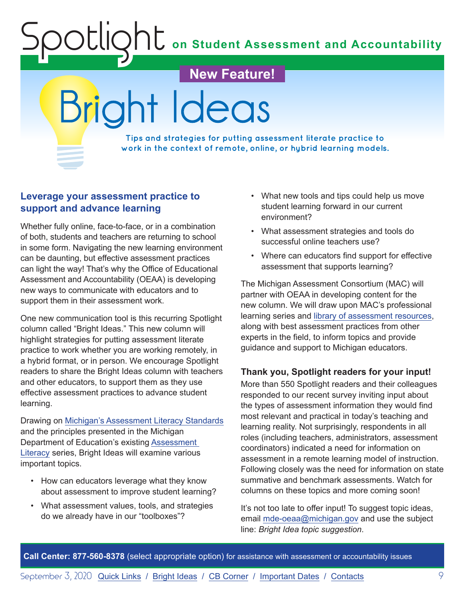**on Student Assessment and Accountability**

<span id="page-8-1"></span>**New Feature!** Bright Ideas

**Tips and strategies for putting assessment literate practice to work in the context of remote, online, or hybrid learning models.**

#### **Leverage your assessment practice to support and advance learning**

<span id="page-8-0"></span>Spotlight

Whether fully online, face-to-face, or in a combination of both, students and teachers are returning to school in some form. Navigating the new learning environment can be daunting, but effective assessment practices can light the way! That's why the Office of Educational Assessment and Accountability (OEAA) is developing new ways to communicate with educators and to support them in their assessment work.

One new communication tool is this recurring Spotlight column called "Bright Ideas." This new column will highlight strategies for putting assessment literate practice to work whether you are working remotely, in a hybrid format, or in person. We encourage Spotlight readers to share the Bright Ideas column with teachers and other educators, to support them as they use effective assessment practices to advance student learning.

Drawing on [Michigan's Assessment Literacy Standards](https://www.michiganassessmentconsortium.org/assessment-resources/) and the principles presented in the Michigan Department of Education's existing [Assessment](https://www.michigan.gov/documents/mde/Spotlight_2-7-19_645659_7.pdf)  [Literacy](https://www.michigan.gov/documents/mde/Spotlight_2-7-19_645659_7.pdf) series, Bright Ideas will examine various important topics.

- How can educators leverage what they know about assessment to improve student learning?
- What assessment values, tools, and strategies do we already have in our "toolboxes"?
- What new tools and tips could help us move student learning forward in our current environment?
- What assessment strategies and tools do successful online teachers use?
- Where can educators find support for effective assessment that supports learning?

The Michigan Assessment Consortium (MAC) will partner with OEAA in developing content for the new column. We will draw upon MAC's professional learning series and [library of assessment resources,](https://www.michiganassessmentconsortium.org/assessment-resources/) along with best assessment practices from other experts in the field, to inform topics and provide guidance and support to Michigan educators.

#### **Thank you, Spotlight readers for your input!**

More than 550 Spotlight readers and their colleagues responded to our recent survey inviting input about the types of assessment information they would find most relevant and practical in today's teaching and learning reality. Not surprisingly, respondents in all roles (including teachers, administrators, assessment coordinators) indicated a need for information on assessment in a remote learning model of instruction. Following closely was the need for information on state summative and benchmark assessments. Watch for columns on these topics and more coming soon!

It's not too late to offer input! To suggest topic ideas, email [mde-oeaa@michigan.gov](mailto:mde-oeaa%40michigan.gov?subject=Bright%20Idea%20topic%20suggestion) and use the subject line: *Bright Idea topic suggestion*.

**Call Center: 877-560-8378** (select appropriate option) for assistance with assessment or accountability issues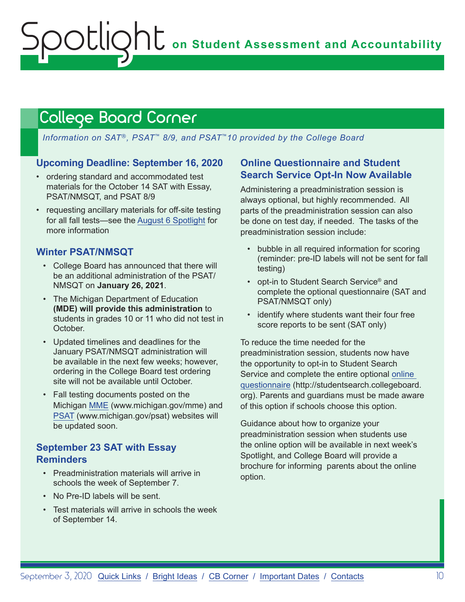## <span id="page-9-1"></span><span id="page-9-0"></span>College Board Corner

*Information on SAT*®*, PSAT*™ *8/9, and PSAT*™*10 provided by the College Board*

#### **Upcoming Deadline: September 16, 2020**

- ordering standard and accommodated test materials for the October 14 SAT with Essay, PSAT/NMSQT, and PSAT 8/9
- requesting ancillary materials for off-site testing for all fall tests—see the [August 6 Spotlight](https://www.michigan.gov/documents/mde/Spotlight_8-6-20_698659_7.pdf) for more information

#### **Winter PSAT/NMSQT**

- College Board has announced that there will be an additional administration of the PSAT/ NMSQT on **January 26, 2021**.
- The Michigan Department of Education **(MDE) will provide this administration** to students in grades 10 or 11 who did not test in October.
- Updated timelines and deadlines for the January PSAT/NMSQT administration will be available in the next few weeks; however, ordering in the College Board test ordering site will not be available until October.
- Fall testing documents posted on the Michigan [MME](www.michigan.gov/mme) (www.michigan.gov/mme) and [PSAT](http://www.michigan.gov/psat) (www.michigan.gov/psat) websites will be updated soon.

#### **September 23 SAT with Essay Reminders**

- Preadministration materials will arrive in schools the week of September 7.
- No Pre-ID labels will be sent.
- Test materials will arrive in schools the week of September 14.

#### **Online Questionnaire and Student Search Service Opt-In Now Available**

Administering a preadministration session is always optional, but highly recommended. All parts of the preadministration session can also be done on test day, if needed. The tasks of the preadministration session include:

- bubble in all required information for scoring (reminder: pre-ID labels will not be sent for fall testing)
- opt-in to Student Search Service<sup>®</sup> and complete the optional questionnaire (SAT and PSAT/NMSQT only)
- identify where students want their four free score reports to be sent (SAT only)

To reduce the time needed for the preadministration session, students now have the opportunity to opt-in to Student Search Service and complete the entire optional [online](http://studentsearch.collegeboard.org)  [questionnaire](http://studentsearch.collegeboard.org) (http://studentsearch.collegeboard. org). Parents and guardians must be made aware of this option if schools choose this option.

Guidance about how to organize your preadministration session when students use the online option will be available in next week's Spotlight, and College Board will provide a brochure for informing parents about the online option.

**Call Center: 877-560-8378** (select appropriate option) for assistance with assessment or accountability issues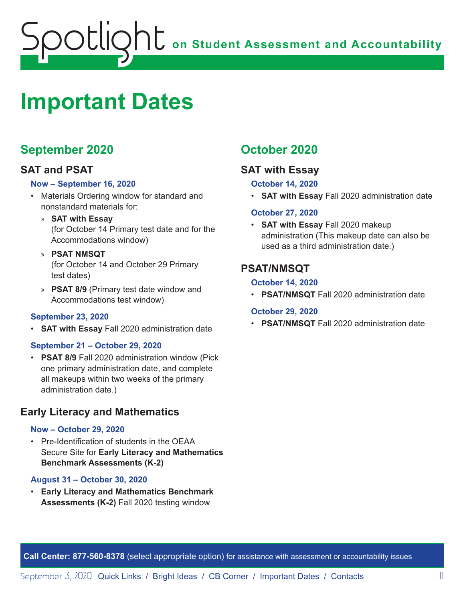<span id="page-10-0"></span>

# <span id="page-10-1"></span>**Important Dates**

### **September 2020**

#### **SAT and PSAT**

#### **Now – September 16, 2020**

- Materials Ordering window for standard and nonstandard materials for:
	- » **SAT with Essay** (for October 14 Primary test date and for the Accommodations window)
	- » **PSAT NMSQT** (for October 14 and October 29 Primary test dates)
	- » **PSAT 8/9** (Primary test date window and Accommodations test window)

#### **September 23, 2020**

• **SAT with Essay** Fall 2020 administration date

#### **September 21 – October 29, 2020**

• **PSAT 8/9** Fall 2020 administration window (Pick one primary administration date, and complete all makeups within two weeks of the primary administration date.)

#### **Early Literacy and Mathematics**

#### **Now – October 29, 2020**

• Pre-Identification of students in the OEAA Secure Site for **Early Literacy and Mathematics Benchmark Assessments (K-2)**

#### **August 31 – October 30, 2020**

• **Early Literacy and Mathematics Benchmark Assessments (K-2)** Fall 2020 testing window

### **October 2020**

#### **SAT with Essay**

#### **October 14, 2020**

• **SAT with Essay** Fall 2020 administration date

#### **October 27, 2020**

• **SAT with Essay** Fall 2020 makeup administration (This makeup date can also be used as a third administration date.)

#### **PSAT/NMSQT**

#### **October 14, 2020**

• **PSAT/NMSQT** Fall 2020 administration date

#### **October 29, 2020**

• **PSAT/NMSQT** Fall 2020 administration date

**Call Center: 877-560-8378** (select appropriate option) for assistance with assessment or accountability issues